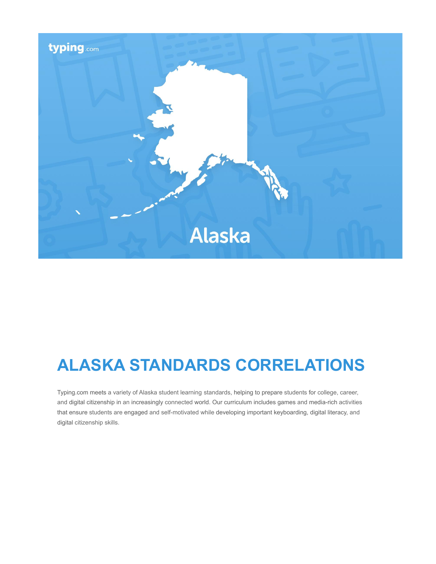

# **ALASKA STANDARDS CORRELATIONS**

Typing.com meets a variety of Alaska student learning standards, helping to prepare students for college, career, and digital citizenship in an increasingly connected world. Our curriculum includes games and media-rich activities that ensure students are engaged and self-motivated while developing important keyboarding, digital literacy, and digital citizenship skills.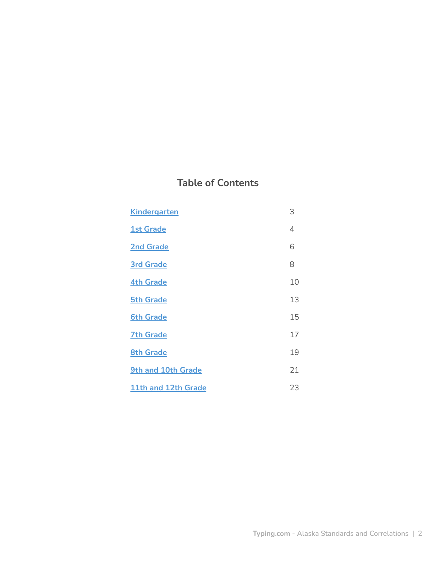# **Table of Contents**

| <b>Kindergarten</b> | 3  |
|---------------------|----|
| <b>1st Grade</b>    | 4  |
| <b>2nd Grade</b>    | 6  |
| <b>3rd Grade</b>    | 8  |
| <b>4th Grade</b>    | 10 |
| <b>5th Grade</b>    | 13 |
| <b>6th Grade</b>    | 15 |
| <b>7th Grade</b>    | 17 |
| <b>8th Grade</b>    | 19 |
| 9th and 10th Grade  | 21 |
| 11th and 12th Grade | 23 |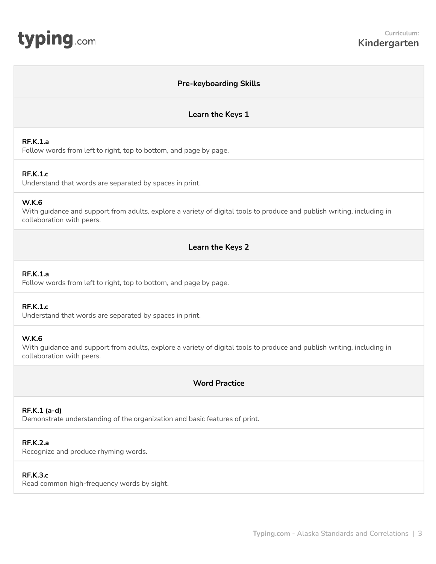<span id="page-2-0"></span>

# **Pre-keyboarding Skills Learn the Keys 1 RF.K.1.a** Follow words from left to right, top to bottom, and page by page. **RF.K.1.c** Understand that words are separated by spaces in print. **W.K.6** With guidance and support from adults, explore a variety of digital tools to produce and publish writing, including in collaboration with peers. **Learn the Keys 2 RF.K.1.a** Follow words from left to right, top to bottom, and page by page. **RF.K.1.c** Understand that words are separated by spaces in print. **W.K.6** With guidance and support from adults, explore a variety of digital tools to produce and publish writing, including in collaboration with peers. **Word Practice RF.K.1 (a-d)** Demonstrate understanding of the organization and basic features of print. **RF.K.2.a** Recognize and produce rhyming words. **RF.K.3.c** Read common high-frequency words by sight.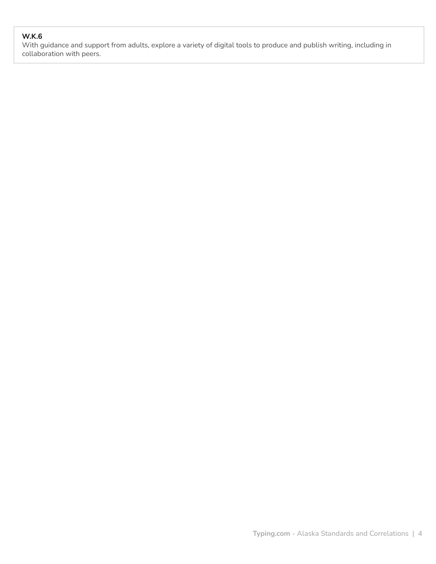# **W.K.6**

With guidance and support from adults, explore a variety of digital tools to produce and publish writing, including in collaboration with peers.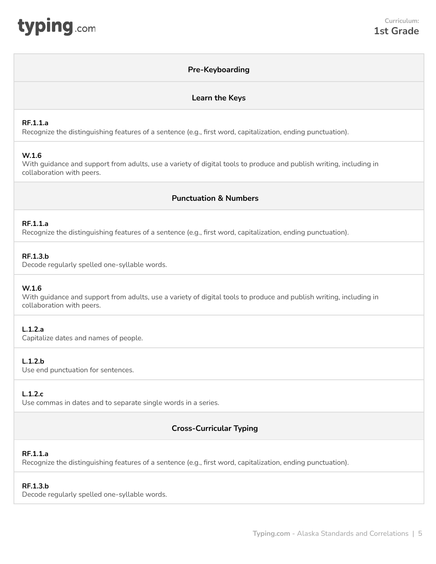<span id="page-4-0"></span>

## **Pre-Keyboarding**

#### **Learn the Keys**

#### **RF.1.1.a**

Recognize the distinguishing features of a sentence (e.g., first word, capitalization, ending punctuation).

#### **W.1.6**

With guidance and support from adults, use a variety of digital tools to produce and publish writing, including in collaboration with peers.

# **Punctuation & Numbers**

#### **RF.1.1.a**

Recognize the distinguishing features of a sentence (e.g., first word, capitalization, ending punctuation).

#### **RF.1.3.b**

Decode regularly spelled one-syllable words.

#### **W.1.6**

With guidance and support from adults, use a variety of digital tools to produce and publish writing, including in collaboration with peers.

#### **L.1.2.a**

Capitalize dates and names of people.

#### **L.1.2.b**

Use end punctuation for sentences.

#### **L.1.2.c**

Use commas in dates and to separate single words in a series.

## **Cross-Curricular Typing**

#### **RF.1.1.a**

Recognize the distinguishing features of a sentence (e.g., first word, capitalization, ending punctuation).

#### **RF.1.3.b**

Decode regularly spelled one-syllable words.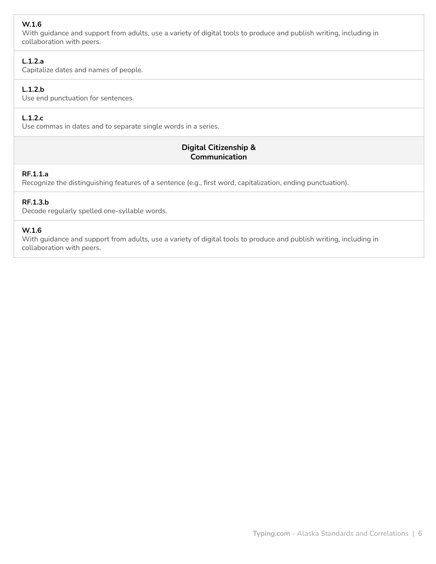# **W.1.6**

With guidance and support from adults, use a variety of digital tools to produce and publish writing, including in collaboration with peers.

## **L.1.2.a**

Capitalize dates and names of people.

# **L.1.2.b**

Use end punctuation for sentences.

# **L.1.2.c**

Use commas in dates and to separate single words in a series.

# **Digital Citizenship & Communication**

## **RF.1.1.a**

Recognize the distinguishing features of a sentence (e.g., first word, capitalization, ending punctuation).

# **RF.1.3.b**

Decode regularly spelled one-syllable words.

## **W.1.6**

With guidance and support from adults, use a variety of digital tools to produce and publish writing, including in collaboration with peers.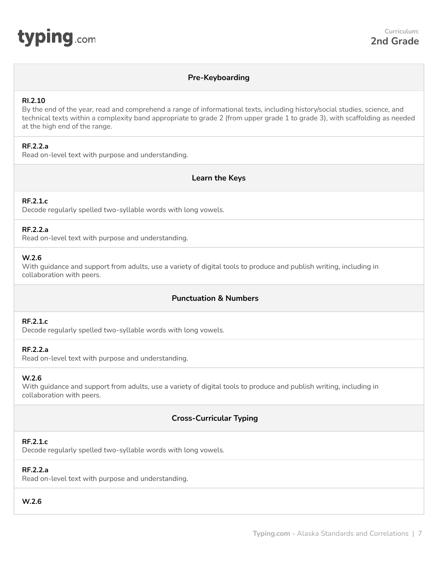<span id="page-6-0"></span>

## **Pre-Keyboarding**

#### **RI.2.10**

By the end of the year, read and comprehend a range of informational texts, including history/social studies, science, and technical texts within a complexity band appropriate to grade 2 (from upper grade 1 to grade 3), with scaffolding as needed at the high end of the range.

## **RF.2.2.a**

Read on-level text with purpose and understanding.

## **Learn the Keys**

#### **RF.2.1.c**

Decode regularly spelled two-syllable words with long vowels.

#### **RF.2.2.a**

Read on-level text with purpose and understanding.

#### **W.2.6**

With guidance and support from adults, use a variety of digital tools to produce and publish writing, including in collaboration with peers.

# **Punctuation & Numbers**

# **RF.2.1.c**

Decode regularly spelled two-syllable words with long vowels.

## **RF.2.2.a**

Read on-level text with purpose and understanding.

#### **W.2.6**

With guidance and support from adults, use a variety of digital tools to produce and publish writing, including in collaboration with peers.

# **Cross-Curricular Typing**

#### **RF.2.1.c**

Decode regularly spelled two-syllable words with long vowels.

## **RF.2.2.a**

Read on-level text with purpose and understanding.

# **W.2.6**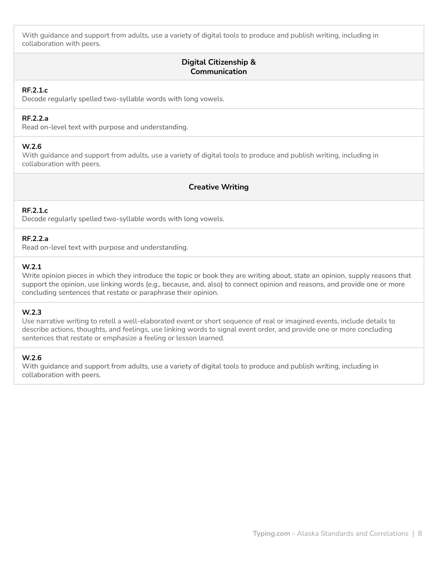With guidance and support from adults, use a variety of digital tools to produce and publish writing, including in collaboration with peers.

# **Digital Citizenship & Communication**

#### **RF.2.1.c**

Decode regularly spelled two-syllable words with long vowels.

## **RF.2.2.a**

Read on-level text with purpose and understanding.

## **W.2.6**

With guidance and support from adults, use a variety of digital tools to produce and publish writing, including in collaboration with peers.

## **Creative Writing**

## **RF.2.1.c**

Decode regularly spelled two-syllable words with long vowels.

## **RF.2.2.a**

Read on-level text with purpose and understanding.

## **W.2.1**

Write opinion pieces in which they introduce the topic or book they are writing about, state an opinion, supply reasons that support the opinion, use linking words (e.g., because, and, also) to connect opinion and reasons, and provide one or more concluding sentences that restate or paraphrase their opinion.

#### **W.2.3**

Use narrative writing to retell a well-elaborated event or short sequence of real or imagined events, include details to describe actions, thoughts, and feelings, use linking words to signal event order, and provide one or more concluding sentences that restate or emphasize a feeling or lesson learned.

#### **W.2.6**

With guidance and support from adults, use a variety of digital tools to produce and publish writing, including in collaboration with peers.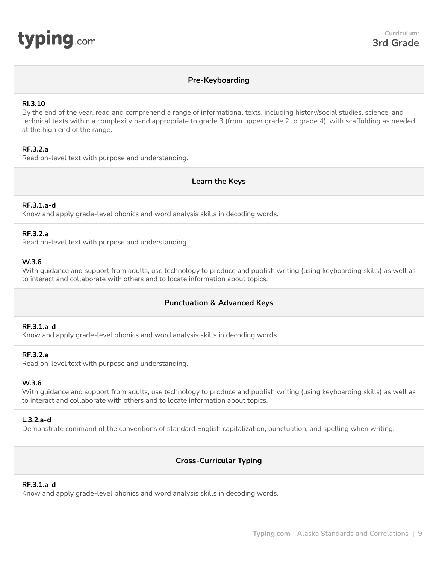## **Pre-Keyboarding**

#### <span id="page-8-0"></span>**RI.3.10**

By the end of the year, read and comprehend a range of informational texts, including history/social studies, science, and technical texts within a complexity band appropriate to grade 3 (from upper grade 2 to grade 4), with scaffolding as needed at the high end of the range.

## **RF.3.2.a**

Read on-level text with purpose and understanding.

**Learn the Keys**

#### **RF.3.1.a-d**

Know and apply grade-level phonics and word analysis skills in decoding words.

#### **RF.3.2.a**

Read on-level text with purpose and understanding.

### **W.3.6**

With guidance and support from adults, use technology to produce and publish writing (using keyboarding skills) as well as to interact and collaborate with others and to locate information about topics.

## **Punctuation & Advanced Keys**

#### **RF.3.1.a-d**

Know and apply grade-level phonics and word analysis skills in decoding words.

#### **RF.3.2.a**

Read on-level text with purpose and understanding.

#### **W.3.6**

With guidance and support from adults, use technology to produce and publish writing (using keyboarding skills) as well as to interact and collaborate with others and to locate information about topics.

#### **L.3.2.a-d**

Demonstrate command of the conventions of standard English capitalization, punctuation, and spelling when writing.

## **Cross-Curricular Typing**

#### **RF.3.1.a-d**

Know and apply grade-level phonics and word analysis skills in decoding words.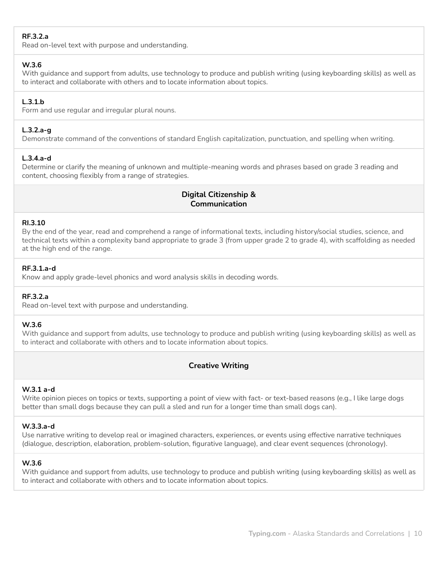## **RF.3.2.a**

Read on-level text with purpose and understanding.

#### **W.3.6**

With guidance and support from adults, use technology to produce and publish writing (using keyboarding skills) as well as to interact and collaborate with others and to locate information about topics.

## **L.3.1.b**

Form and use regular and irregular plural nouns.

## **L.3.2.a-g**

Demonstrate command of the conventions of standard English capitalization, punctuation, and spelling when writing.

## **L.3.4.a-d**

Determine or clarify the meaning of unknown and multiple-meaning words and phrases based on grade 3 reading and content, choosing flexibly from a range of strategies.

# **Digital Citizenship & Communication**

## **RI.3.10**

By the end of the year, read and comprehend a range of informational texts, including history/social studies, science, and technical texts within a complexity band appropriate to grade 3 (from upper grade 2 to grade 4), with scaffolding as needed at the high end of the range.

## **RF.3.1.a-d**

Know and apply grade-level phonics and word analysis skills in decoding words.

## **RF.3.2.a**

Read on-level text with purpose and understanding.

## **W.3.6**

With guidance and support from adults, use technology to produce and publish writing (using keyboarding skills) as well as to interact and collaborate with others and to locate information about topics.

## **Creative Writing**

#### **W.3.1 a-d**

Write opinion pieces on topics or texts, supporting a point of view with fact- or text-based reasons (e.g., I like large dogs better than small dogs because they can pull a sled and run for a longer time than small dogs can).

#### **W.3.3.a-d**

Use narrative writing to develop real or imagined characters, experiences, or events using effective narrative techniques (dialogue, description, elaboration, problem-solution, figurative language), and clear event sequences (chronology).

#### **W.3.6**

With guidance and support from adults, use technology to produce and publish writing (using keyboarding skills) as well as to interact and collaborate with others and to locate information about topics.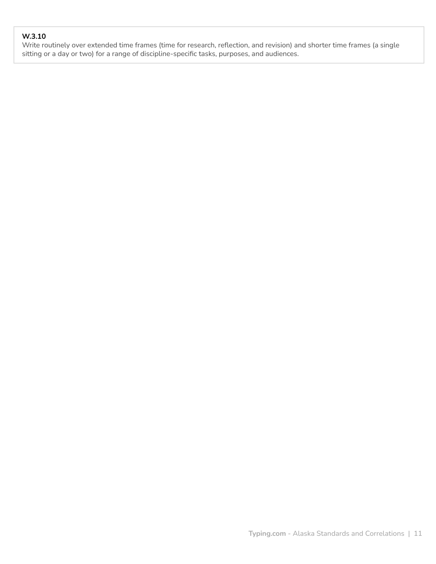# **W.3.10**

Write routinely over extended time frames (time for research, reflection, and revision) and shorter time frames (a single sitting or a day or two) for a range of discipline-specific tasks, purposes, and audiences.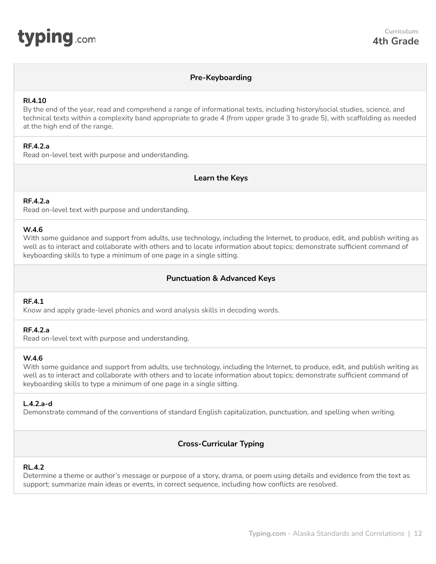<span id="page-11-0"></span>

## **Pre-Keyboarding**

#### **RI.4.10**

By the end of the year, read and comprehend a range of informational texts, including history/social studies, science, and technical texts within a complexity band appropriate to grade 4 (from upper grade 3 to grade 5), with scaffolding as needed at the high end of the range.

## **RF.4.2.a**

Read on-level text with purpose and understanding.

**Learn the Keys**

#### **RF.4.2.a**

Read on-level text with purpose and understanding.

#### **W.4.6**

With some guidance and support from adults, use technology, including the Internet, to produce, edit, and publish writing as well as to interact and collaborate with others and to locate information about topics; demonstrate sufficient command of keyboarding skills to type a minimum of one page in a single sitting.

# **Punctuation & Advanced Keys**

#### **RF.4.1**

Know and apply grade-level phonics and word analysis skills in decoding words.

#### **RF.4.2.a**

Read on-level text with purpose and understanding.

#### **W.4.6**

With some guidance and support from adults, use technology, including the Internet, to produce, edit, and publish writing as well as to interact and collaborate with others and to locate information about topics; demonstrate sufficient command of keyboarding skills to type a minimum of one page in a single sitting.

#### **L.4.2.a-d**

Demonstrate command of the conventions of standard English capitalization, punctuation, and spelling when writing.

## **Cross-Curricular Typing**

#### **RL.4.2**

Determine a theme or author's message or purpose of a story, drama, or poem using details and evidence from the text as support; summarize main ideas or events, in correct sequence, including how conflicts are resolved.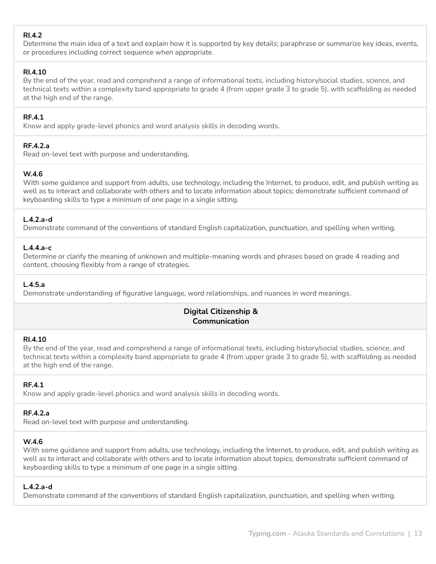# **RI.4.2**

Determine the main idea of a text and explain how it is supported by key details; paraphrase or summarize key ideas, events, or procedures including correct sequence when appropriate.

# **RI.4.10**

By the end of the year, read and comprehend a range of informational texts, including history/social studies, science, and technical texts within a complexity band appropriate to grade 4 (from upper grade 3 to grade 5), with scaffolding as needed at the high end of the range.

# **RF.4.1**

Know and apply grade-level phonics and word analysis skills in decoding words.

# **RF.4.2.a**

Read on-level text with purpose and understanding.

# **W.4.6**

With some guidance and support from adults, use technology, including the Internet, to produce, edit, and publish writing as well as to interact and collaborate with others and to locate information about topics; demonstrate sufficient command of keyboarding skills to type a minimum of one page in a single sitting.

# **L.4.2.a-d**

Demonstrate command of the conventions of standard English capitalization, punctuation, and spelling when writing.

## **L.4.4.a-c**

Determine or clarify the meaning of unknown and multiple-meaning words and phrases based on grade 4 reading and content, choosing flexibly from a range of strategies.

## **L.4.5.a**

Demonstrate understanding of figurative language, word relationships, and nuances in word meanings.

# **Digital Citizenship & Communication**

#### **RI.4.10**

By the end of the year, read and comprehend a range of informational texts, including history/social studies, science, and technical texts within a complexity band appropriate to grade 4 (from upper grade 3 to grade 5), with scaffolding as needed at the high end of the range.

## **RF.4.1**

Know and apply grade-level phonics and word analysis skills in decoding words.

## **RF.4.2.a**

Read on-level text with purpose and understanding.

## **W.4.6**

With some guidance and support from adults, use technology, including the Internet, to produce, edit, and publish writing as well as to interact and collaborate with others and to locate information about topics; demonstrate sufficient command of keyboarding skills to type a minimum of one page in a single sitting.

## **L.4.2.a-d**

Demonstrate command of the conventions of standard English capitalization, punctuation, and spelling when writing.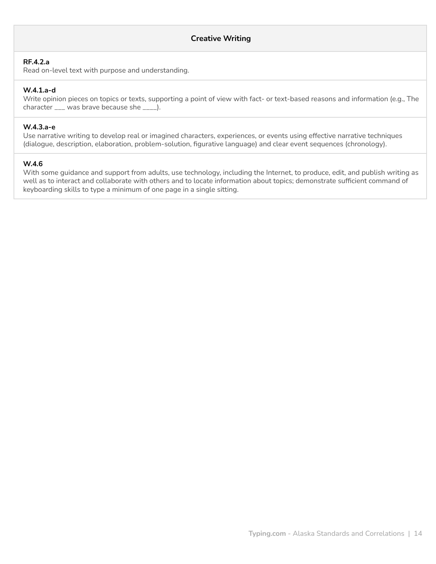#### **RF.4.2.a**

Read on-level text with purpose and understanding.

## **W.4.1.a-d**

Write opinion pieces on topics or texts, supporting a point of view with fact- or text-based reasons and information (e.g., The character \_\_\_ was brave because she \_\_\_\_).

#### **W.4.3.a-e**

Use narrative writing to develop real or imagined characters, experiences, or events using effective narrative techniques (dialogue, description, elaboration, problem-solution, figurative language) and clear event sequences (chronology).

#### **W.4.6**

With some guidance and support from adults, use technology, including the Internet, to produce, edit, and publish writing as well as to interact and collaborate with others and to locate information about topics; demonstrate sufficient command of keyboarding skills to type a minimum of one page in a single sitting.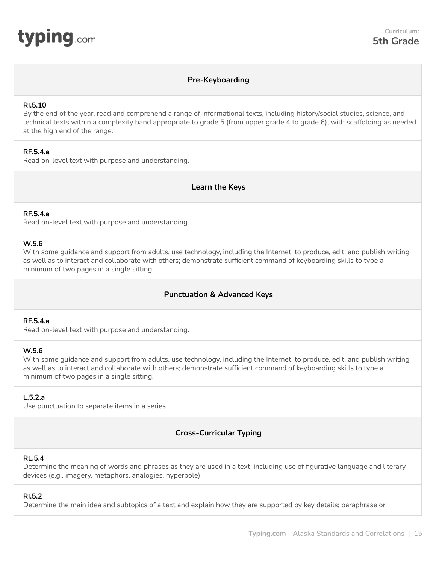## **Pre-Keyboarding**

#### <span id="page-14-0"></span>**RI.5.10**

By the end of the year, read and comprehend a range of informational texts, including history/social studies, science, and technical texts within a complexity band appropriate to grade 5 (from upper grade 4 to grade 6), with scaffolding as needed at the high end of the range.

#### **RF.5.4.a**

Read on-level text with purpose and understanding.

**Learn the Keys**

#### **RF.5.4.a**

Read on-level text with purpose and understanding.

#### **W.5.6**

With some guidance and support from adults, use technology, including the Internet, to produce, edit, and publish writing as well as to interact and collaborate with others; demonstrate sufficient command of keyboarding skills to type a minimum of two pages in a single sitting.

## **Punctuation & Advanced Keys**

#### **RF.5.4.a**

Read on-level text with purpose and understanding.

#### **W.5.6**

With some guidance and support from adults, use technology, including the Internet, to produce, edit, and publish writing as well as to interact and collaborate with others; demonstrate sufficient command of keyboarding skills to type a minimum of two pages in a single sitting.

## **L.5.2.a**

Use punctuation to separate items in a series.

## **Cross-Curricular Typing**

#### **RL.5.4**

Determine the meaning of words and phrases as they are used in a text, including use of figurative language and literary devices (e.g., imagery, metaphors, analogies, hyperbole).

#### **RI.5.2**

Determine the main idea and subtopics of a text and explain how they are supported by key details; paraphrase or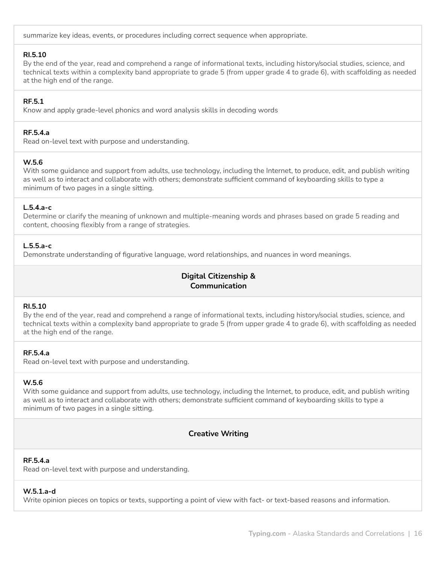summarize key ideas, events, or procedures including correct sequence when appropriate.

#### **RI.5.10**

By the end of the year, read and comprehend a range of informational texts, including history/social studies, science, and technical texts within a complexity band appropriate to grade 5 (from upper grade 4 to grade 6), with scaffolding as needed at the high end of the range.

## **RF.5.1**

Know and apply grade-level phonics and word analysis skills in decoding words

## **RF.5.4.a**

Read on-level text with purpose and understanding.

## **W.5.6**

With some guidance and support from adults, use technology, including the Internet, to produce, edit, and publish writing as well as to interact and collaborate with others; demonstrate sufficient command of keyboarding skills to type a minimum of two pages in a single sitting.

## **L.5.4.a-c**

Determine or clarify the meaning of unknown and multiple-meaning words and phrases based on grade 5 reading and content, choosing flexibly from a range of strategies.

## **L.5.5.a-c**

Demonstrate understanding of figurative language, word relationships, and nuances in word meanings.

# **Digital Citizenship & Communication**

## **RI.5.10**

By the end of the year, read and comprehend a range of informational texts, including history/social studies, science, and technical texts within a complexity band appropriate to grade 5 (from upper grade 4 to grade 6), with scaffolding as needed at the high end of the range.

## **RF.5.4.a**

Read on-level text with purpose and understanding.

## **W.5.6**

With some guidance and support from adults, use technology, including the Internet, to produce, edit, and publish writing as well as to interact and collaborate with others; demonstrate sufficient command of keyboarding skills to type a minimum of two pages in a single sitting.

## **Creative Writing**

## **RF.5.4.a**

Read on-level text with purpose and understanding.

## **W.5.1.a-d**

Write opinion pieces on topics or texts, supporting a point of view with fact- or text-based reasons and information.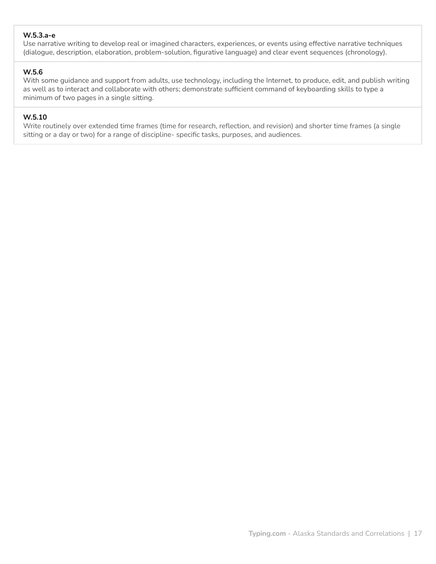### **W.5.3.a-e**

Use narrative writing to develop real or imagined characters, experiences, or events using effective narrative techniques (dialogue, description, elaboration, problem-solution, figurative language) and clear event sequences (chronology).

## **W.5.6**

With some guidance and support from adults, use technology, including the Internet, to produce, edit, and publish writing as well as to interact and collaborate with others; demonstrate sufficient command of keyboarding skills to type a minimum of two pages in a single sitting.

## **W.5.10**

Write routinely over extended time frames (time for research, reflection, and revision) and shorter time frames (a single sitting or a day or two) for a range of discipline- specific tasks, purposes, and audiences.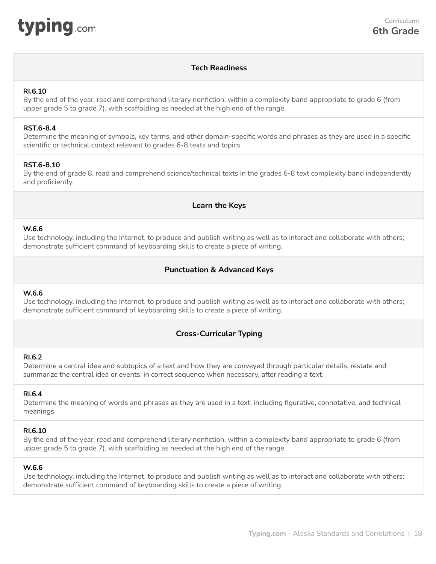<span id="page-17-0"></span>

# **Tech Readiness**

#### **RI.6.10**

By the end of the year, read and comprehend literary nonfiction, within a complexity band appropriate to grade 6 (from upper grade 5 to grade 7), with scaffolding as needed at the high end of the range.

#### **RST.6-8.4**

Determine the meaning of symbols, key terms, and other domain-specific words and phrases as they are used in a specific scientific or technical context relevant to grades 6-8 texts and topics.

#### **RST.6-8.10**

By the end of grade 8, read and comprehend science/technical texts in the grades 6-8 text complexity band independently and proficiently.

#### **Learn the Keys**

#### **W.6.6**

Use technology, including the Internet, to produce and publish writing as well as to interact and collaborate with others; demonstrate sufficient command of keyboarding skills to create a piece of writing.

## **Punctuation & Advanced Keys**

#### **W.6.6**

Use technology, including the Internet, to produce and publish writing as well as to interact and collaborate with others; demonstrate sufficient command of keyboarding skills to create a piece of writing.

## **Cross-Curricular Typing**

#### **RI.6.2**

Determine a central idea and subtopics of a text and how they are conveyed through particular details; restate and summarize the central idea or events, in correct sequence when necessary, after reading a text.

#### **RI.6.4**

Determine the meaning of words and phrases as they are used in a text, including figurative, connotative, and technical meanings.

#### **RI.6.10**

By the end of the year, read and comprehend literary nonfiction, within a complexity band appropriate to grade 6 (from upper grade 5 to grade 7), with scaffolding as needed at the high end of the range.

#### **W.6.6**

Use technology, including the Internet, to produce and publish writing as well as to interact and collaborate with others; demonstrate sufficient command of keyboarding skills to create a piece of writing.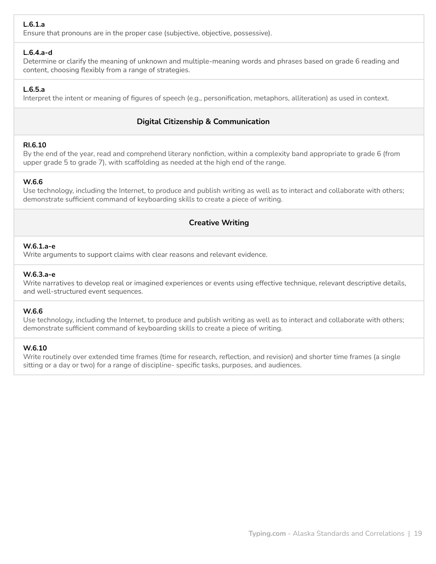# **L.6.1.a**

Ensure that pronouns are in the proper case (subjective, objective, possessive).

### **L.6.4.a-d**

Determine or clarify the meaning of unknown and multiple-meaning words and phrases based on grade 6 reading and content, choosing flexibly from a range of strategies.

# **L.6.5.a**

Interpret the intent or meaning of figures of speech (e.g., personification, metaphors, alliteration) as used in context.

# **Digital Citizenship & Communication**

## **RI.6.10**

By the end of the year, read and comprehend literary nonfiction, within a complexity band appropriate to grade 6 (from upper grade 5 to grade 7), with scaffolding as needed at the high end of the range.

## **W.6.6**

Use technology, including the Internet, to produce and publish writing as well as to interact and collaborate with others; demonstrate sufficient command of keyboarding skills to create a piece of writing.

# **Creative Writing**

#### **W.6.1.a-e**

Write arguments to support claims with clear reasons and relevant evidence.

## **W.6.3.a-e**

Write narratives to develop real or imagined experiences or events using effective technique, relevant descriptive details, and well-structured event sequences.

#### **W.6.6**

Use technology, including the Internet, to produce and publish writing as well as to interact and collaborate with others; demonstrate sufficient command of keyboarding skills to create a piece of writing.

#### **W.6.10**

Write routinely over extended time frames (time for research, reflection, and revision) and shorter time frames (a single sitting or a day or two) for a range of discipline- specific tasks, purposes, and audiences.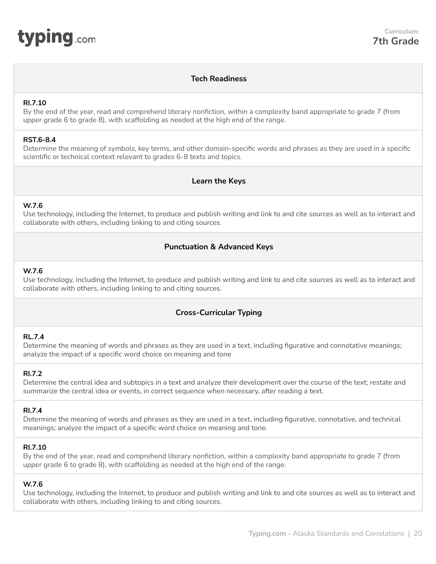<span id="page-19-0"></span>

# **Tech Readiness**

#### **RI.7.10**

By the end of the year, read and comprehend literary nonfiction, within a complexity band appropriate to grade 7 (from upper grade 6 to grade 8), with scaffolding as needed at the high end of the range.

#### **RST.6-8.4**

Determine the meaning of symbols, key terms, and other domain-specific words and phrases as they are used in a specific scientific or technical context relevant to grades 6-8 texts and topics.

## **Learn the Keys**

#### **W.7.6**

Use technology, including the Internet, to produce and publish writing and link to and cite sources as well as to interact and collaborate with others, including linking to and citing sources.

## **Punctuation & Advanced Keys**

#### **W.7.6**

Use technology, including the Internet, to produce and publish writing and link to and cite sources as well as to interact and collaborate with others, including linking to and citing sources.

## **Cross-Curricular Typing**

#### **RL.7.4**

Determine the meaning of words and phrases as they are used in a text, including figurative and connotative meanings; analyze the impact of a specific word choice on meaning and tone

#### **RI.7.2**

Determine the central idea and subtopics in a text and analyze their development over the course of the text; restate and summarize the central idea or events, in correct sequence when necessary, after reading a text.

#### **RI.7.4**

Determine the meaning of words and phrases as they are used in a text, including figurative, connotative, and technical meanings; analyze the impact of a specific word choice on meaning and tone.

#### **RI.7.10**

By the end of the year, read and comprehend literary nonfiction, within a complexity band appropriate to grade 7 (from upper grade 6 to grade 8), with scaffolding as needed at the high end of the range.

#### **W.7.6**

Use technology, including the Internet, to produce and publish writing and link to and cite sources as well as to interact and collaborate with others, including linking to and citing sources.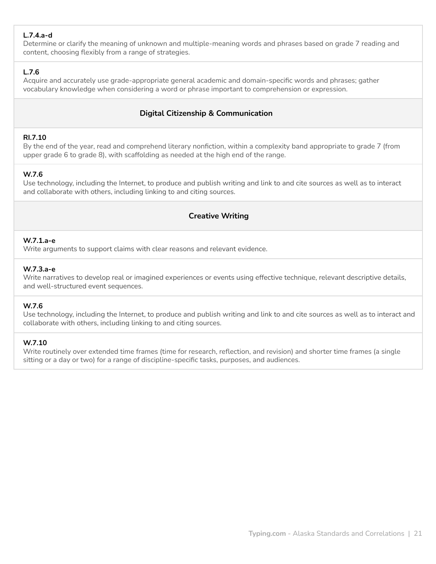# **L.7.4.a-d**

Determine or clarify the meaning of unknown and multiple-meaning words and phrases based on grade 7 reading and content, choosing flexibly from a range of strategies.

# **L.7.6**

Acquire and accurately use grade-appropriate general academic and domain-specific words and phrases; gather vocabulary knowledge when considering a word or phrase important to comprehension or expression.

# **Digital Citizenship & Communication**

#### **RI.7.10**

By the end of the year, read and comprehend literary nonfiction, within a complexity band appropriate to grade 7 (from upper grade 6 to grade 8), with scaffolding as needed at the high end of the range.

# **W.7.6**

Use technology, including the Internet, to produce and publish writing and link to and cite sources as well as to interact and collaborate with others, including linking to and citing sources.

# **Creative Writing**

## **W.7.1.a-e**

Write arguments to support claims with clear reasons and relevant evidence.

## **W.7.3.a-e**

Write narratives to develop real or imagined experiences or events using effective technique, relevant descriptive details, and well-structured event sequences.

## **W.7.6**

Use technology, including the Internet, to produce and publish writing and link to and cite sources as well as to interact and collaborate with others, including linking to and citing sources.

#### **W.7.10**

Write routinely over extended time frames (time for research, reflection, and revision) and shorter time frames (a single sitting or a day or two) for a range of discipline-specific tasks, purposes, and audiences.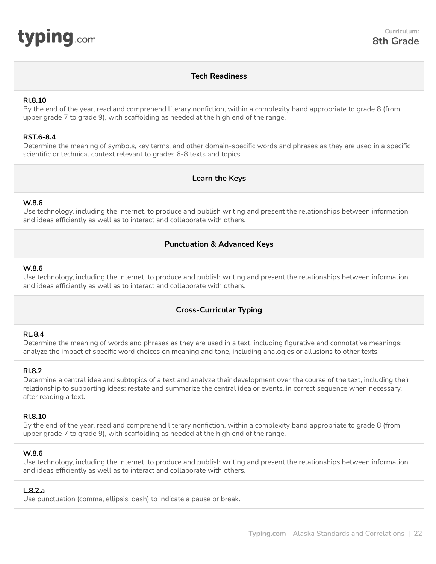<span id="page-21-0"></span>

#### **Tech Readiness**

#### **RI.8.10**

By the end of the year, read and comprehend literary nonfiction, within a complexity band appropriate to grade 8 (from upper grade 7 to grade 9), with scaffolding as needed at the high end of the range.

#### **RST.6-8.4**

Determine the meaning of symbols, key terms, and other domain-specific words and phrases as they are used in a specific scientific or technical context relevant to grades 6-8 texts and topics.

## **Learn the Keys**

#### **W.8.6**

Use technology, including the Internet, to produce and publish writing and present the relationships between information and ideas efficiently as well as to interact and collaborate with others.

## **Punctuation & Advanced Keys**

#### **W.8.6**

Use technology, including the Internet, to produce and publish writing and present the relationships between information and ideas efficiently as well as to interact and collaborate with others.

## **Cross-Curricular Typing**

#### **RL.8.4**

Determine the meaning of words and phrases as they are used in a text, including figurative and connotative meanings; analyze the impact of specific word choices on meaning and tone, including analogies or allusions to other texts.

#### **RI.8.2**

Determine a central idea and subtopics of a text and analyze their development over the course of the text, including their relationship to supporting ideas; restate and summarize the central idea or events, in correct sequence when necessary, after reading a text.

#### **RI.8.10**

By the end of the year, read and comprehend literary nonfiction, within a complexity band appropriate to grade 8 (from upper grade 7 to grade 9), with scaffolding as needed at the high end of the range.

#### **W.8.6**

Use technology, including the Internet, to produce and publish writing and present the relationships between information and ideas efficiently as well as to interact and collaborate with others.

#### **L.8.2.a**

Use punctuation (comma, ellipsis, dash) to indicate a pause or break.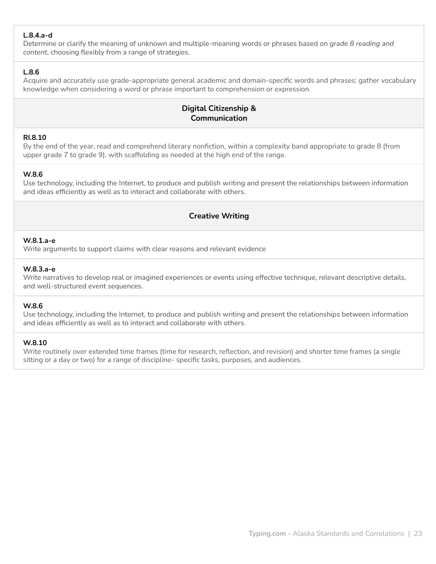## **L.8.4.a-d**

Determine or clarify the meaning of unknown and multiple-meaning words or phrases based on *grade 8 reading and content*, choosing flexibly from a range of strategies.

#### **L.8.6**

Acquire and accurately use grade-appropriate general academic and domain-specific words and phrases; gather vocabulary knowledge when considering a word or phrase important to comprehension or expression.

# **Digital Citizenship & Communication**

#### **RI.8.10**

By the end of the year, read and comprehend literary nonfiction, within a complexity band appropriate to grade 8 (from upper grade 7 to grade 9), with scaffolding as needed at the high end of the range.

#### **W.8.6**

Use technology, including the Internet, to produce and publish writing and present the relationships between information and ideas efficiently as well as to interact and collaborate with others.

## **Creative Writing**

#### **W.8.1.a-e**

Write arguments to support claims with clear reasons and relevant evidence

#### **W.8.3.a-e**

Write narratives to develop real or imagined experiences or events using effective technique, relevant descriptive details, and well-structured event sequences.

#### **W.8.6**

Use technology, including the Internet, to produce and publish writing and present the relationships between information and ideas efficiently as well as to interact and collaborate with others.

#### **W.8.10**

Write routinely over extended time frames (time for research, reflection, and revision) and shorter time frames (a single sitting or a day or two) for a range of discipline- specific tasks, purposes, and audiences.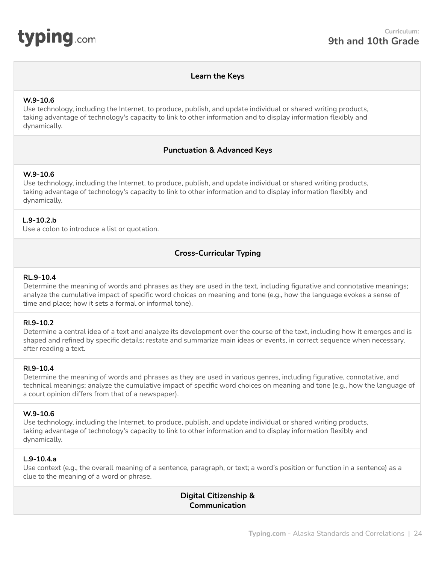<span id="page-23-0"></span>

#### **Learn the Keys**

#### **W.9-10.6**

Use technology, including the Internet, to produce, publish, and update individual or shared writing products, taking advantage of technology's capacity to link to other information and to display information flexibly and dynamically.

#### **Punctuation & Advanced Keys**

#### **W.9-10.6**

Use technology, including the Internet, to produce, publish, and update individual or shared writing products, taking advantage of technology's capacity to link to other information and to display information flexibly and dynamically.

#### **L.9-10.2.b**

Use a colon to introduce a list or quotation.

## **Cross-Curricular Typing**

#### **RL.9-10.4**

Determine the meaning of words and phrases as they are used in the text, including figurative and connotative meanings; analyze the cumulative impact of specific word choices on meaning and tone (e.g., how the language evokes a sense of time and place; how it sets a formal or informal tone).

#### **RI.9-10.2**

Determine a central idea of a text and analyze its development over the course of the text, including how it emerges and is shaped and refined by specific details; restate and summarize main ideas or events, in correct sequence when necessary, after reading a text.

#### **RI.9-10.4**

Determine the meaning of words and phrases as they are used in various genres, including figurative, connotative, and technical meanings; analyze the cumulative impact of specific word choices on meaning and tone (e.g., how the language of a court opinion differs from that of a newspaper).

#### **W.9-10.6**

Use technology, including the Internet, to produce, publish, and update individual or shared writing products, taking advantage of technology's capacity to link to other information and to display information flexibly and dynamically.

#### **L.9-10.4.a**

Use context (e.g., the overall meaning of a sentence, paragraph, or text; a word's position or function in a sentence) as a clue to the meaning of a word or phrase.

# **Digital Citizenship & Communication**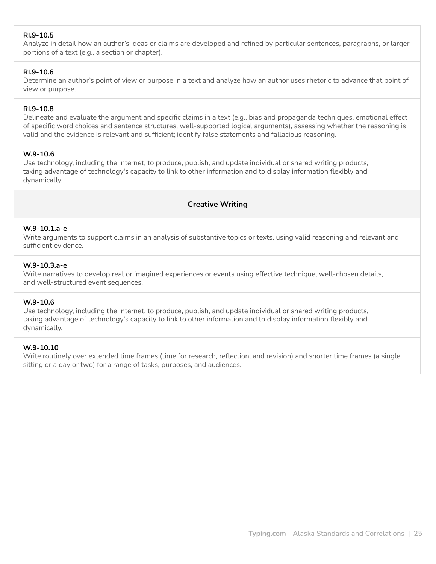## **RI.9-10.5**

Analyze in detail how an author's ideas or claims are developed and refined by particular sentences, paragraphs, or larger portions of a text (e.g., a section or chapter).

#### **RI.9-10.6**

Determine an author's point of view or purpose in a text and analyze how an author uses rhetoric to advance that point of view or purpose.

#### **RI.9-10.8**

Delineate and evaluate the argument and specific claims in a text (e.g., bias and propaganda techniques, emotional effect of specific word choices and sentence structures, well-supported logical arguments), assessing whether the reasoning is valid and the evidence is relevant and sufficient; identify false statements and fallacious reasoning.

#### **W.9-10.6**

Use technology, including the Internet, to produce, publish, and update individual or shared writing products, taking advantage of technology's capacity to link to other information and to display information flexibly and dynamically.

# **Creative Writing**

#### **W.9-10.1.a-e**

Write arguments to support claims in an analysis of substantive topics or texts, using valid reasoning and relevant and sufficient evidence.

#### **W.9-10.3.a-e**

Write narratives to develop real or imagined experiences or events using effective technique, well-chosen details, and well-structured event sequences.

#### **W.9-10.6**

Use technology, including the Internet, to produce, publish, and update individual or shared writing products, taking advantage of technology's capacity to link to other information and to display information flexibly and dynamically.

#### **W.9-10.10**

Write routinely over extended time frames (time for research, reflection, and revision) and shorter time frames (a single sitting or a day or two) for a range of tasks, purposes, and audiences.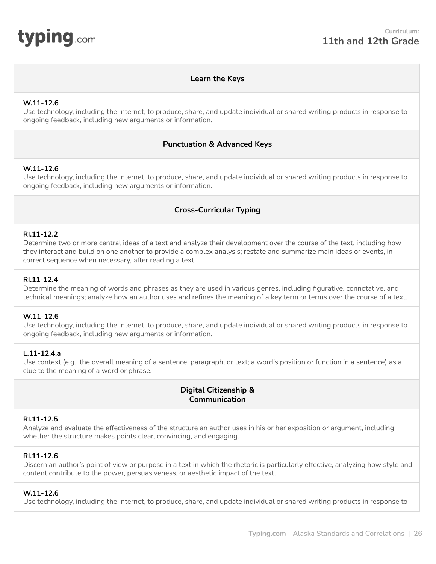<span id="page-25-0"></span>

## **Learn the Keys**

#### **W.11-12.6**

Use technology, including the Internet, to produce, share, and update individual or shared writing products in response to ongoing feedback, including new arguments or information.

#### **Punctuation & Advanced Keys**

#### **W.11-12.6**

Use technology, including the Internet, to produce, share, and update individual or shared writing products in response to ongoing feedback, including new arguments or information.

## **Cross-Curricular Typing**

#### **RI.11-12.2**

Determine two or more central ideas of a text and analyze their development over the course of the text, including how they interact and build on one another to provide a complex analysis; restate and summarize main ideas or events, in correct sequence when necessary, after reading a text.

#### **RI.11-12.4**

Determine the meaning of words and phrases as they are used in various genres, including figurative, connotative, and technical meanings; analyze how an author uses and refines the meaning of a key term or terms over the course of a text.

#### **W.11-12.6**

Use technology, including the Internet, to produce, share, and update individual or shared writing products in response to ongoing feedback, including new arguments or information.

#### **L.11-12.4.a**

Use context (e.g., the overall meaning of a sentence, paragraph, or text; a word's position or function in a sentence) as a clue to the meaning of a word or phrase.

## **Digital Citizenship & Communication**

#### **RI.11-12.5**

Analyze and evaluate the effectiveness of the structure an author uses in his or her exposition or argument, including whether the structure makes points clear, convincing, and engaging.

#### **RI.11-12.6**

Discern an author's point of view or purpose in a text in which the rhetoric is particularly effective, analyzing how style and content contribute to the power, persuasiveness, or aesthetic impact of the text.

#### **W.11-12.6**

Use technology, including the Internet, to produce, share, and update individual or shared writing products in response to